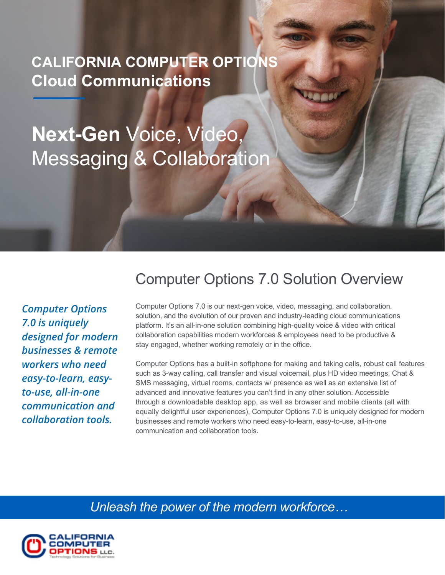**CALIFORNIA COMPUTER OPTIONS Cloud Communications**

**Next-Gen** Voice, Video, Messaging & Collaboration

## Computer Options 7.0 Solution Overview

*Computer Options 7.0 is uniquely designed for modern businesses & remote workers who need easy-to-learn, easyto-use, all-in-one communication and collaboration tools.*

Computer Options 7.0 is our next-gen voice, video, messaging, and collaboration. solution, and the evolution of our proven and industry-leading cloud communications platform. It's an all-in-one solution combining high-quality voice & video with critical collaboration capabilities modern workforces & employees need to be productive & stay engaged, whether working remotely or in the office.

Computer Options has a built-in softphone for making and taking calls, robust call features such as 3-way calling, call transfer and visual voicemail, plus HD video meetings, Chat & SMS messaging, virtual rooms, contacts w/ presence as well as an extensive list of advanced and innovative features you can't find in any other solution. Accessible through a downloadable desktop app, as well as browser and mobile clients (all with equally delightful user experiences), Computer Options 7.0 is uniquely designed for modern businesses and remote workers who need easy-to-learn, easy-to-use, all-in-one communication and collaboration tools.

*Unleash the power of the modern workforce…*